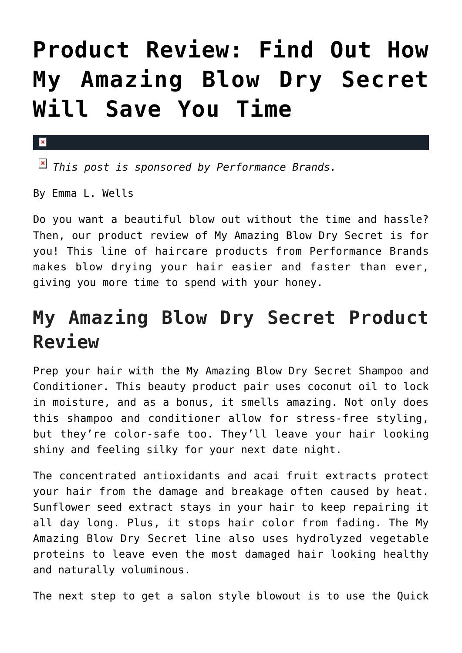## **[Product Review: Find Out How](https://cupidspulse.com/90151/product-review-blow-dry-secret-save-time/) [My Amazing Blow Dry Secret](https://cupidspulse.com/90151/product-review-blow-dry-secret-save-time/) [Will Save You Time](https://cupidspulse.com/90151/product-review-blow-dry-secret-save-time/)**

*This post is sponsored by Performance Brands.*

By Emma L. Wells

 $\mathbf{x}$ 

Do you want a beautiful blow out without the time and hassle? Then, our product review of My Amazing Blow Dry Secret is for you! This line of haircare products from Performance Brands makes blow drying your hair easier and faster than ever, giving you more time to spend with your honey.

## **My Amazing Blow Dry Secret Product Review**

Prep your hair with the My Amazing Blow Dry Secret Shampoo and Conditioner. This beauty product pair uses coconut oil to lock in moisture, and as a bonus, it smells amazing. Not only does this shampoo and conditioner allow for stress-free styling, but they're color-safe too. They'll leave your hair looking shiny and feeling silky for your next date night.

The concentrated antioxidants and acai fruit extracts protect your hair from the damage and breakage often caused by heat. Sunflower seed extract stays in your hair to keep repairing it all day long. Plus, it stops hair color from fading. The My Amazing Blow Dry Secret line also uses hydrolyzed vegetable proteins to leave even the most damaged hair looking healthy and naturally voluminous.

The next step to get a salon style blowout is to use the Quick